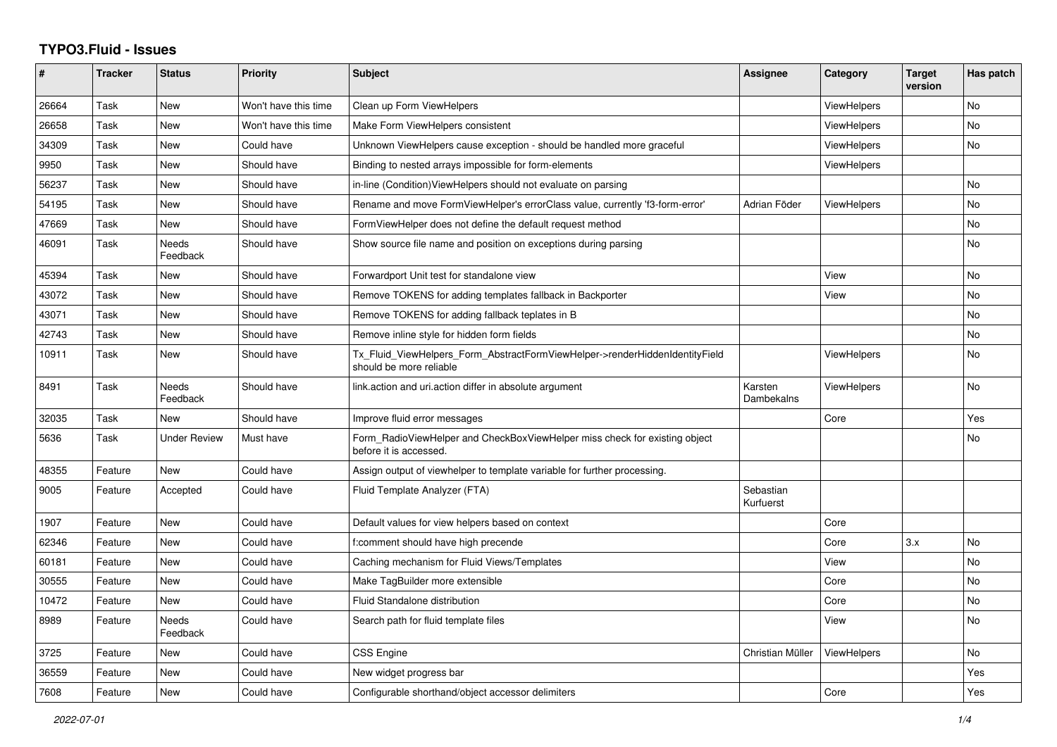## **TYPO3.Fluid - Issues**

| #     | <b>Tracker</b> | <b>Status</b>            | <b>Priority</b>      | <b>Subject</b>                                                                                         | Assignee               | Category           | <b>Target</b><br>version | Has patch |
|-------|----------------|--------------------------|----------------------|--------------------------------------------------------------------------------------------------------|------------------------|--------------------|--------------------------|-----------|
| 26664 | Task           | New                      | Won't have this time | Clean up Form ViewHelpers                                                                              |                        | <b>ViewHelpers</b> |                          | <b>No</b> |
| 26658 | Task           | New                      | Won't have this time | Make Form ViewHelpers consistent                                                                       |                        | ViewHelpers        |                          | <b>No</b> |
| 34309 | Task           | New                      | Could have           | Unknown ViewHelpers cause exception - should be handled more graceful                                  |                        | ViewHelpers        |                          | No        |
| 9950  | Task           | New                      | Should have          | Binding to nested arrays impossible for form-elements                                                  |                        | <b>ViewHelpers</b> |                          |           |
| 56237 | Task           | New                      | Should have          | in-line (Condition)ViewHelpers should not evaluate on parsing                                          |                        |                    |                          | No        |
| 54195 | Task           | <b>New</b>               | Should have          | Rename and move FormViewHelper's errorClass value, currently 'f3-form-error'                           | Adrian Föder           | <b>ViewHelpers</b> |                          | <b>No</b> |
| 47669 | Task           | New                      | Should have          | FormViewHelper does not define the default request method                                              |                        |                    |                          | <b>No</b> |
| 46091 | Task           | Needs<br>Feedback        | Should have          | Show source file name and position on exceptions during parsing                                        |                        |                    |                          | <b>No</b> |
| 45394 | Task           | New                      | Should have          | Forwardport Unit test for standalone view                                                              |                        | View               |                          | No        |
| 43072 | Task           | New                      | Should have          | Remove TOKENS for adding templates fallback in Backporter                                              |                        | View               |                          | <b>No</b> |
| 43071 | Task           | New                      | Should have          | Remove TOKENS for adding fallback teplates in B                                                        |                        |                    |                          | <b>No</b> |
| 42743 | Task           | New                      | Should have          | Remove inline style for hidden form fields                                                             |                        |                    |                          | <b>No</b> |
| 10911 | Task           | New                      | Should have          | Tx_Fluid_ViewHelpers_Form_AbstractFormViewHelper->renderHiddenIdentityField<br>should be more reliable |                        | <b>ViewHelpers</b> |                          | No        |
| 8491  | Task           | Needs<br>Feedback        | Should have          | link.action and uri.action differ in absolute argument                                                 | Karsten<br>Dambekalns  | ViewHelpers        |                          | <b>No</b> |
| 32035 | Task           | New                      | Should have          | Improve fluid error messages                                                                           |                        | Core               |                          | Yes       |
| 5636  | Task           | <b>Under Review</b>      | Must have            | Form RadioViewHelper and CheckBoxViewHelper miss check for existing object<br>before it is accessed.   |                        |                    |                          | No        |
| 48355 | Feature        | New                      | Could have           | Assign output of viewhelper to template variable for further processing.                               |                        |                    |                          |           |
| 9005  | Feature        | Accepted                 | Could have           | Fluid Template Analyzer (FTA)                                                                          | Sebastian<br>Kurfuerst |                    |                          |           |
| 1907  | Feature        | <b>New</b>               | Could have           | Default values for view helpers based on context                                                       |                        | Core               |                          |           |
| 62346 | Feature        | New                      | Could have           | f:comment should have high precende                                                                    |                        | Core               | 3.x                      | No        |
| 60181 | Feature        | New                      | Could have           | Caching mechanism for Fluid Views/Templates                                                            |                        | View               |                          | <b>No</b> |
| 30555 | Feature        | <b>New</b>               | Could have           | Make TagBuilder more extensible                                                                        |                        | Core               |                          | <b>No</b> |
| 10472 | Feature        | New                      | Could have           | <b>Fluid Standalone distribution</b>                                                                   |                        | Core               |                          | No        |
| 8989  | Feature        | <b>Needs</b><br>Feedback | Could have           | Search path for fluid template files                                                                   |                        | View               |                          | <b>No</b> |
| 3725  | Feature        | New                      | Could have           | <b>CSS Engine</b>                                                                                      | Christian Müller       | ViewHelpers        |                          | No        |
| 36559 | Feature        | New                      | Could have           | New widget progress bar                                                                                |                        |                    |                          | Yes       |
| 7608  | Feature        | New                      | Could have           | Configurable shorthand/object accessor delimiters                                                      |                        | Core               |                          | Yes       |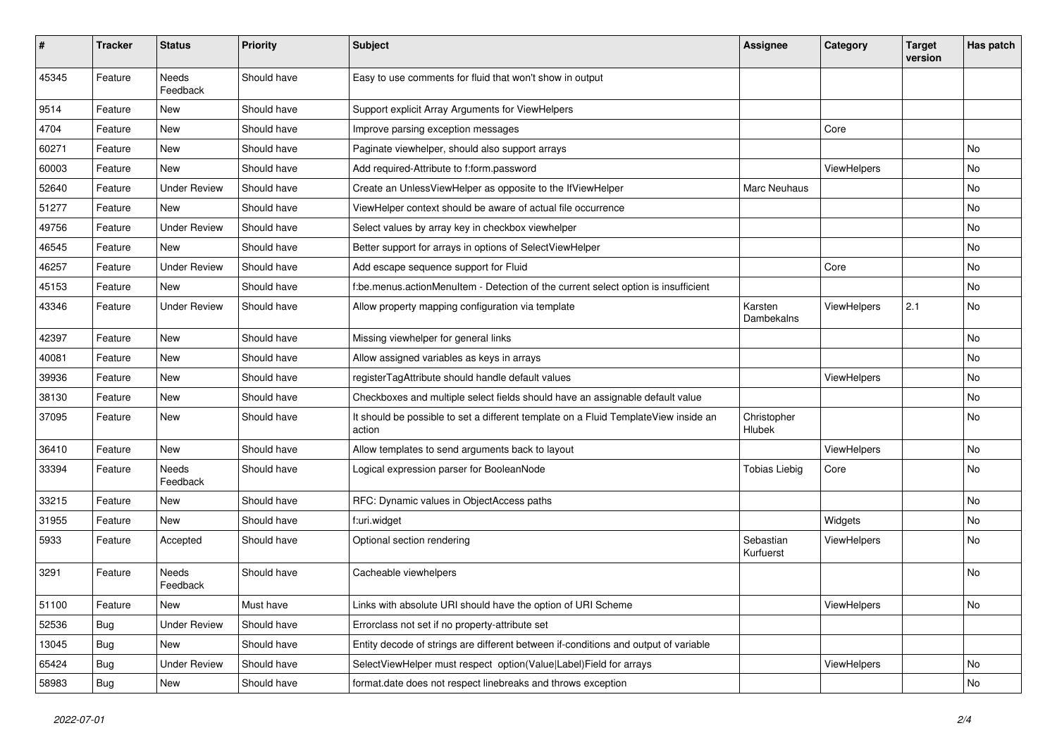| $\pmb{\#}$ | <b>Tracker</b> | <b>Status</b>            | <b>Priority</b> | Subject                                                                                       | Assignee               | Category           | <b>Target</b><br>version | Has patch |
|------------|----------------|--------------------------|-----------------|-----------------------------------------------------------------------------------------------|------------------------|--------------------|--------------------------|-----------|
| 45345      | Feature        | Needs<br>Feedback        | Should have     | Easy to use comments for fluid that won't show in output                                      |                        |                    |                          |           |
| 9514       | Feature        | New                      | Should have     | Support explicit Array Arguments for ViewHelpers                                              |                        |                    |                          |           |
| 4704       | Feature        | New                      | Should have     | Improve parsing exception messages                                                            |                        | Core               |                          |           |
| 60271      | Feature        | New                      | Should have     | Paginate viewhelper, should also support arrays                                               |                        |                    |                          | No        |
| 60003      | Feature        | New                      | Should have     | Add required-Attribute to f:form.password                                                     |                        | <b>ViewHelpers</b> |                          | No        |
| 52640      | Feature        | <b>Under Review</b>      | Should have     | Create an UnlessViewHelper as opposite to the IfViewHelper                                    | Marc Neuhaus           |                    |                          | No        |
| 51277      | Feature        | New                      | Should have     | ViewHelper context should be aware of actual file occurrence                                  |                        |                    |                          | No        |
| 49756      | Feature        | <b>Under Review</b>      | Should have     | Select values by array key in checkbox viewhelper                                             |                        |                    |                          | No        |
| 46545      | Feature        | New                      | Should have     | Better support for arrays in options of SelectViewHelper                                      |                        |                    |                          | No        |
| 46257      | Feature        | <b>Under Review</b>      | Should have     | Add escape sequence support for Fluid                                                         |                        | Core               |                          | No        |
| 45153      | Feature        | New                      | Should have     | f:be.menus.actionMenuItem - Detection of the current select option is insufficient            |                        |                    |                          | No        |
| 43346      | Feature        | <b>Under Review</b>      | Should have     | Allow property mapping configuration via template                                             | Karsten<br>Dambekalns  | ViewHelpers        | 2.1                      | No        |
| 42397      | Feature        | <b>New</b>               | Should have     | Missing viewhelper for general links                                                          |                        |                    |                          | No        |
| 40081      | Feature        | New                      | Should have     | Allow assigned variables as keys in arrays                                                    |                        |                    |                          | No        |
| 39936      | Feature        | New                      | Should have     | registerTagAttribute should handle default values                                             |                        | ViewHelpers        |                          | No        |
| 38130      | Feature        | New                      | Should have     | Checkboxes and multiple select fields should have an assignable default value                 |                        |                    |                          | No        |
| 37095      | Feature        | New                      | Should have     | It should be possible to set a different template on a Fluid TemplateView inside an<br>action | Christopher<br>Hlubek  |                    |                          | No        |
| 36410      | Feature        | <b>New</b>               | Should have     | Allow templates to send arguments back to layout                                              |                        | ViewHelpers        |                          | No        |
| 33394      | Feature        | <b>Needs</b><br>Feedback | Should have     | Logical expression parser for BooleanNode                                                     | <b>Tobias Liebig</b>   | Core               |                          | No        |
| 33215      | Feature        | New                      | Should have     | RFC: Dynamic values in ObjectAccess paths                                                     |                        |                    |                          | No        |
| 31955      | Feature        | <b>New</b>               | Should have     | f:uri.widget                                                                                  |                        | Widgets            |                          | No        |
| 5933       | Feature        | Accepted                 | Should have     | Optional section rendering                                                                    | Sebastian<br>Kurfuerst | <b>ViewHelpers</b> |                          | No        |
| 3291       | Feature        | Needs<br>Feedback        | Should have     | Cacheable viewhelpers                                                                         |                        |                    |                          | No        |
| 51100      | Feature        | New                      | Must have       | Links with absolute URI should have the option of URI Scheme                                  |                        | <b>ViewHelpers</b> |                          | No        |
| 52536      | Bug            | <b>Under Review</b>      | Should have     | Errorclass not set if no property-attribute set                                               |                        |                    |                          |           |
| 13045      | Bug            | New                      | Should have     | Entity decode of strings are different between if-conditions and output of variable           |                        |                    |                          |           |
| 65424      | Bug            | <b>Under Review</b>      | Should have     | SelectViewHelper must respect option(Value Label)Field for arrays                             |                        | ViewHelpers        |                          | No        |
| 58983      | <b>Bug</b>     | New                      | Should have     | format.date does not respect linebreaks and throws exception                                  |                        |                    |                          | No        |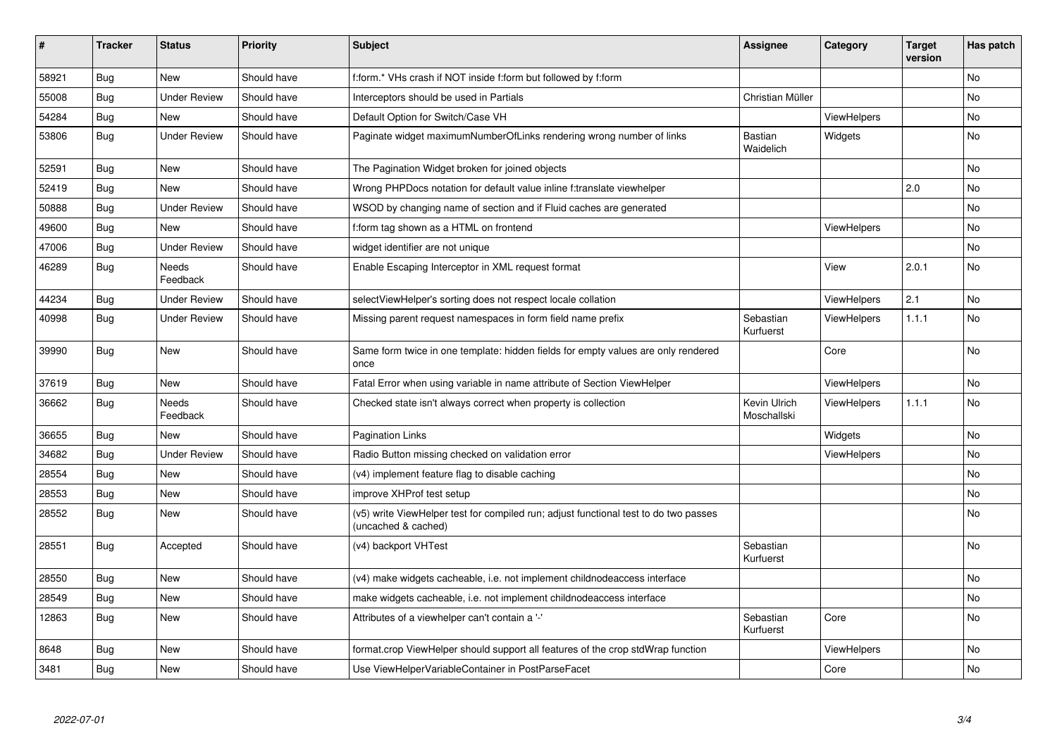| #     | <b>Tracker</b> | <b>Status</b>            | <b>Priority</b> | <b>Subject</b>                                                                                              | <b>Assignee</b>             | Category           | <b>Target</b><br>version | Has patch |
|-------|----------------|--------------------------|-----------------|-------------------------------------------------------------------------------------------------------------|-----------------------------|--------------------|--------------------------|-----------|
| 58921 | <b>Bug</b>     | <b>New</b>               | Should have     | f:form.* VHs crash if NOT inside f:form but followed by f:form                                              |                             |                    |                          | <b>No</b> |
| 55008 | Bug            | <b>Under Review</b>      | Should have     | Interceptors should be used in Partials                                                                     | Christian Müller            |                    |                          | No        |
| 54284 | <b>Bug</b>     | <b>New</b>               | Should have     | Default Option for Switch/Case VH                                                                           |                             | ViewHelpers        |                          | No        |
| 53806 | Bug            | <b>Under Review</b>      | Should have     | Paginate widget maximumNumberOfLinks rendering wrong number of links                                        | Bastian<br>Waidelich        | Widgets            |                          | No        |
| 52591 | Bug            | <b>New</b>               | Should have     | The Pagination Widget broken for joined objects                                                             |                             |                    |                          | <b>No</b> |
| 52419 | Bug            | New                      | Should have     | Wrong PHPDocs notation for default value inline f:translate viewhelper                                      |                             |                    | 2.0                      | No        |
| 50888 | Bug            | Under Review             | Should have     | WSOD by changing name of section and if Fluid caches are generated                                          |                             |                    |                          | <b>No</b> |
| 49600 | <b>Bug</b>     | <b>New</b>               | Should have     | f:form tag shown as a HTML on frontend                                                                      |                             | <b>ViewHelpers</b> |                          | <b>No</b> |
| 47006 | Bug            | <b>Under Review</b>      | Should have     | widget identifier are not unique                                                                            |                             |                    |                          | <b>No</b> |
| 46289 | Bug            | <b>Needs</b><br>Feedback | Should have     | Enable Escaping Interceptor in XML request format                                                           |                             | View               | 2.0.1                    | <b>No</b> |
| 44234 | Bug            | <b>Under Review</b>      | Should have     | selectViewHelper's sorting does not respect locale collation                                                |                             | ViewHelpers        | 2.1                      | <b>No</b> |
| 40998 | <b>Bug</b>     | <b>Under Review</b>      | Should have     | Missing parent request namespaces in form field name prefix                                                 | Sebastian<br>Kurfuerst      | ViewHelpers        | 1.1.1                    | <b>No</b> |
| 39990 | <b>Bug</b>     | New                      | Should have     | Same form twice in one template: hidden fields for empty values are only rendered<br>once                   |                             | Core               |                          | <b>No</b> |
| 37619 | <b>Bug</b>     | New                      | Should have     | Fatal Error when using variable in name attribute of Section ViewHelper                                     |                             | ViewHelpers        |                          | <b>No</b> |
| 36662 | <b>Bug</b>     | <b>Needs</b><br>Feedback | Should have     | Checked state isn't always correct when property is collection                                              | Kevin Ulrich<br>Moschallski | ViewHelpers        | 1.1.1                    | <b>No</b> |
| 36655 | <b>Bug</b>     | <b>New</b>               | Should have     | <b>Pagination Links</b>                                                                                     |                             | Widgets            |                          | <b>No</b> |
| 34682 | <b>Bug</b>     | <b>Under Review</b>      | Should have     | Radio Button missing checked on validation error                                                            |                             | ViewHelpers        |                          | <b>No</b> |
| 28554 | <b>Bug</b>     | <b>New</b>               | Should have     | (v4) implement feature flag to disable caching                                                              |                             |                    |                          | <b>No</b> |
| 28553 | <b>Bug</b>     | New                      | Should have     | improve XHProf test setup                                                                                   |                             |                    |                          | No        |
| 28552 | Bug            | New                      | Should have     | (v5) write ViewHelper test for compiled run; adjust functional test to do two passes<br>(uncached & cached) |                             |                    |                          | No        |
| 28551 | <b>Bug</b>     | Accepted                 | Should have     | (v4) backport VHTest                                                                                        | Sebastian<br>Kurfuerst      |                    |                          | No        |
| 28550 | Bug            | New                      | Should have     | (v4) make widgets cacheable, i.e. not implement childnodeaccess interface                                   |                             |                    |                          | No        |
| 28549 | <b>Bug</b>     | New                      | Should have     | make widgets cacheable, i.e. not implement childnodeaccess interface                                        |                             |                    |                          | No        |
| 12863 | Bug            | <b>New</b>               | Should have     | Attributes of a viewhelper can't contain a '-'                                                              | Sebastian<br>Kurfuerst      | Core               |                          | <b>No</b> |
| 8648  | Bug            | New                      | Should have     | format.crop ViewHelper should support all features of the crop stdWrap function                             |                             | ViewHelpers        |                          | <b>No</b> |
| 3481  | Bug            | <b>New</b>               | Should have     | Use ViewHelperVariableContainer in PostParseFacet                                                           |                             | Core               |                          | <b>No</b> |